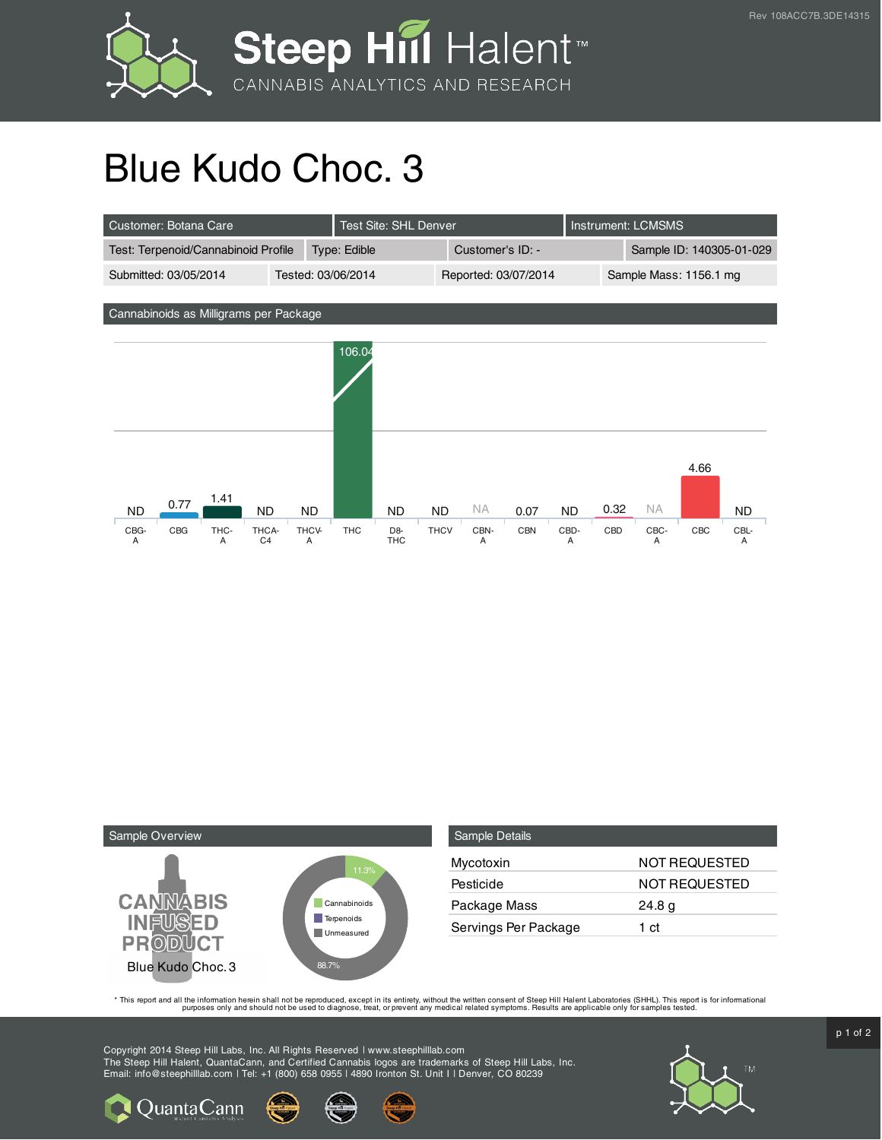

## Blue Kudo Choc. 3





QuantaCann

| <b>Sample Details</b> |                      |
|-----------------------|----------------------|
| Mycotoxin             | <b>NOT REQUESTED</b> |
| Pesticide             | NOT REQUESTED        |
| Package Mass          | 24.8 <sub>g</sub>    |
| Servings Per Package  | 1 ct                 |

This report and all the information herein shall not be reporduced, except in its entirety, without the written consent of Steep Hill Halent Laboratories (SHHL). This report is for informational all the instance, treat, or

Copyright 2014 Steep Hill Labs, Inc. All Rights Reserved | www.steephilllab.com The Steep Hill Halent, QuantaCann, and Certified Cannabis logos are trademarks of Steep Hill Labs, Inc. Email: info@steephilllab.com | Tel: +1 (800) 658 0955 | 4890 Ironton St. Unit I | Denver, CO 80239